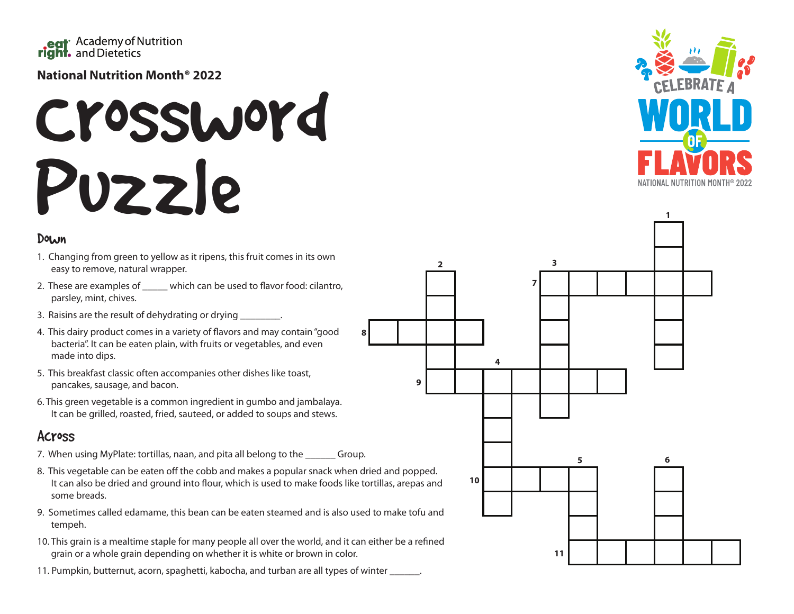

#### **National Nutrition Month® 2022**

## Crossword Puzzle

#### Down

- 1. Changing from green to yellow as it ripens, this fruit comes in its own easy to remove, natural wrapper.
- 2. These are examples of \_\_\_\_\_ which can be used to flavor food: cilantro, parsley, mint, chives.
- 3. Raisins are the result of dehydrating or drying \_\_\_\_\_\_\_\_.
- 4. This dairy product comes in a variety of flavors and may contain "good bacteria". It can be eaten plain, with fruits or vegetables, and even made into dips.
- 5. This breakfast classic often accompanies other dishes like toast, pancakes, sausage, and bacon.
- 6. This green vegetable is a common ingredient in gumbo and jambalaya. It can be grilled, roasted, fried, sauteed, or added to soups and stews.

### Across

- 7. When using MyPlate: tortillas, naan, and pita all belong to the \_\_\_\_\_\_ Group.
- 8. This vegetable can be eaten off the cobb and makes a popular snack when dried and popped. It can also be dried and ground into flour, which is used to make foods like tortillas, arepas and some breads.

**8**

- 9. Sometimes called edamame, this bean can be eaten steamed and is also used to make tofu and tempeh.
- 10. This grain is a mealtime staple for many people all over the world, and it can either be a refined grain or a whole grain depending on whether it is white or brown in color.
- 11. Pumpkin, butternut, acorn, spaghetti, kabocha, and turban are all types of winter \_\_\_\_\_\_.



**1**